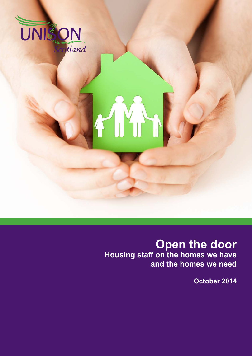

# **Open the door Housing staff on the homes we have and the homes we need**

**October 2014**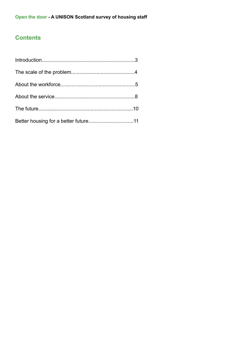# **Contents**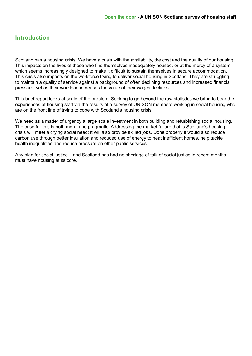#### **Introduction**

Scotland has a housing crisis. We have a crisis with the availability, the cost and the quality of our housing. This impacts on the lives of those who find themselves inadequately housed, or at the mercy of a system which seems increasingly designed to make it difficult to sustain themselves in secure accommodation. This crisis also impacts on the workforce trying to deliver social housing in Scotland. They are struggling to maintain a quality of service against a background of often declining resources and increased financial pressure, yet as their workload increases the value of their wages declines.

This brief report looks at scale of the problem. Seeking to go beyond the raw statistics we bring to bear the experiences of housing staff via the results of a survey of UNISON members working in social housing who are on the front line of trying to cope with Scotland's housing crisis.

We need as a matter of urgency a large scale investment in both building and refurbishing social housing. The case for this is both moral and pragmatic. Addressing the market failure that is Scotland's housing crisis will meet a crying social need; it will also provide skilled jobs. Done properly it would also reduce carbon use through better insulation and reduced use of energy to heat inefficient homes, help tackle health inequalities and reduce pressure on other public services.

Any plan for social justice – and Scotland has had no shortage of talk of social justice in recent months – must have housing at its core.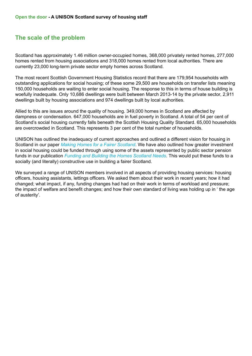# **The scale of the problem**

Scotland has approximately 1.46 million owner-occupied homes, 368,000 privately rented homes, 277,000 homes rented from housing associations and 318,000 homes rented from local authorities. There are currently 23,000 long-term private sector empty homes across Scotland.

The most recent Scottish Government Housing Statistics record that there are 179,954 households with outstanding applications for social housing; of these some 29,500 are households on transfer lists meaning 150,000 households are waiting to enter social housing. The response to this in terms of house building is woefully inadequate. Only 10,686 dwellings were built between March 2013-14 by the private sector, 2,911 dwellings built by housing associations and 974 dwellings built by local authorities.

Allied to this are issues around the quality of housing. 349,000 homes in Scotland are affected by dampness or condensation. 647,000 households are in fuel poverty in Scotland. A total of 54 per cent of Scotland's social housing currently falls beneath the Scottish Housing Quality Standard. 65,000 households are overcrowded in Scotland. This represents 3 per cent of the total number of households.

UNISON has outlined the inadequacy of current approaches and outlined a different vision for housing in Scotland in our paper *[Making Homes for a Fairer Scotland](http://www.unison-scotland.org.uk/housing/MakingHomesForAFairerScotland_June2013.pdf)*. We have also outlined how greater investment in social housing could be funded through using some of the assets represented by public sector pension funds in our publication *[Funding and Building the Homes Scotland Needs](http://www.unison-scotland.org.uk/housing/FundingAndBuildingTheHomesScotlandNeeds_Mar2013.pdf)*. This would put these funds to a socially (and literally) constructive use in building a fairer Scotland.

We surveyed a range of UNISON members involved in all aspects of providing housing services: housing officers, housing assistants, lettings officers. We asked them about their work in recent years; how it had changed; what impact, if any, funding changes had had on their work in terms of workload and pressure; the impact of welfare and benefit changes; and how their own standard of living was holding up in ' the age of austerity'.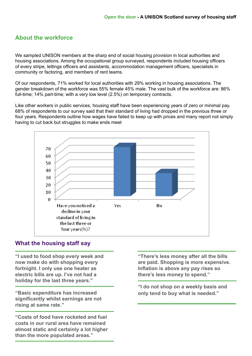# **About the workforce**

We sampled UNISON members at the sharp end of social housing provision in local authorities and housing associations. Among the occupational group surveyed, respondents included housing officers of every stripe, lettings officers and assistants, accommodation management officers, specialists in community or factoring, and members of rent teams.

Of our respondents, 71% worked for local authorities with 29% working in housing associations. The gender breakdown of the workforce was 55% female 45% male. The vast bulk of the workforce are: 86% full-time; 14% part-time; with a very low level (2.5%) on temporary contracts.

Like other workers in public services, housing staff have been experiencing years of zero or minimal pay. 68% of respondents to our survey said that their standard of living had dropped in the previous three or four years. Respondents outline how wages have failed to keep up with prices and many report not simply having to cut back but struggles to make ends meet



#### **What the housing staff say**

**"I used to food shop every week and now make do with shopping every fortnight. I only use one heater as electric bills are up. I've not had a holiday for the last three years."**

**"Basic expenditure has increased significantly whilst earnings are not rising at same rate."**

**"Costs of food have rocketed and fuel costs in our rural area have remained almost static and certainly a lot higher than the more populated areas."**

**"There's less money after all the bills are paid. Shopping is more expensive. Inflation is above any pay rises so there's less money to spend."**

**"I do not shop on a weekly basis and only tend to buy what is needed."**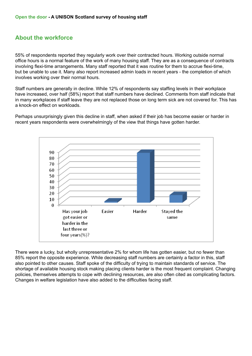#### **About the workforce**

55% of respondents reported they regularly work over their contracted hours. Working outside normal office hours is a normal feature of the work of many housing staff. They are as a consequence of contracts involving flexi-time arrangements. Many staff reported that it was routine for them to accrue flexi-time, but be unable to use it. Many also report increased admin loads in recent years - the completion of which involves working over their normal hours.

Staff numbers are generally in decline. While 12% of respondents say staffing levels in their workplace have increased, over half (58%) report that staff numbers have declined. Comments from staff indicate that in many workplaces if staff leave they are not replaced those on long term sick are not covered for. This has a knock-on effect on workloads.

Perhaps unsurprisingly given this decline in staff, when asked if their job has become easier or harder in recent years respondents were overwhelmingly of the view that things have gotten harder.



There were a lucky, but wholly unrepresentative 2% for whom life has gotten easier, but no fewer than 85% report the opposite experience. While decreasing staff numbers are certainly a factor in this, staff also pointed to other causes. Staff spoke of the difficulty of trying to maintain standards of service. The shortage of available housing stock making placing clients harder is the most frequent complaint. Changing policies, themselves attempts to cope with declining resources, are also often cited as complicating factors. Changes in welfare legislation have also added to the difficulties facing staff.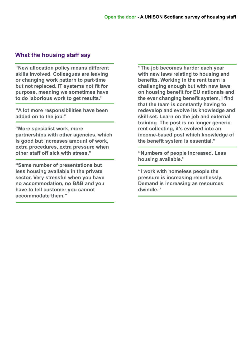#### **What the housing staff say**

**"New allocation policy means different skills involved. Colleagues are leaving or changing work pattern to part-time but not replaced. IT systems not fit for purpose, meaning we sometimes have to do laborious work to get results."**

**"A lot more responsibilities have been added on to the job."**

**"More specialist work, more partnerships with other agencies, which is good but increases amount of work, extra procedures, extra pressure when other staff off sick with stress."**

**"Same number of presentations but less housing available in the private sector. Very stressful when you have no accommodation, no B&B and you have to tell customer you cannot accommodate them."**

**"The job becomes harder each year with new laws relating to housing and benefits. Working in the rent team is challenging enough but with new laws on housing benefit for EU nationals and the ever changing benefit system, I find that the team is constantly having to redevelop and evolve its knowledge and skill set. Learn on the job and external training. The post is no longer generic rent collecting, it's evolved into an income-based post which knowledge of the benefit system is essential."**

**"Numbers of people increased. Less housing available."**

**"I work with homeless people the pressure is increasing relentlessly. Demand is increasing as resources dwindle."**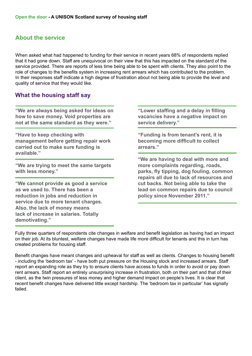#### **About the service**

When asked what had happened to funding for their service in recent years 68% of respondents replied that it had gone down. Staff are unequivocal on their view that this has impacted on the standard of the service provided. There are reports of less time being able to be spent with clients. They also point to the role of changes to the benefits system in increasing rent arrears which has contributed to the problem. In their responses staff indicate a high degree of frustration about not being able to provide the level and quality of service that they would like.

#### **What the housing staff say**

**"We are always being asked for ideas on how to save money. Void properties are not at the same standard as they were."**

**"Have to keep checking with management before getting repair work carried out to make sure funding is available."**

**"We are trying to meet the same targets with less money."**

**"We cannot provide as good a service as we used to. There has been a reduction in jobs and reduction in service due to more tenant charges. Also, the lack of money means lack of increase in salaries. Totally demotivating."**

**"Lower staffing and a delay in filling vacancies have a negative impact on service delivery."**

**"Funding is from tenant's rent, it is becoming more difficult to collect arrears."**

**"We are having to deal with more and more complaints regarding, roads, parks, fly tipping, dog fouling, common repairs all due to lack of resources and cut backs. Not being able to take the lead on common repairs due to council policy since November 2011."**

Fully three quarters of respondents cite changes in welfare and benefit legislation as having had an impact on their job. At its bluntest, welfare changes have made life more difficult for tenants and this in turn has created problems for housing staff.

Benefit changes have meant changes and upheaval for staff as well as clients. Changes to housing benefit - including the 'bedroom tax' - have both put pressure on the Housing stock and increased arrears. Staff report an expanding role as they try to ensure clients have access to funds in order to avoid or pay down rent arrears. Staff report an entirely unsurprising increase in frustration, both on their part and that of their client, as the twin pressures of less money and higher demand impact on people's lives. It is clear that recent benefit changes have delivered little except hardship. The 'bedroom tax in particular' has signally failed.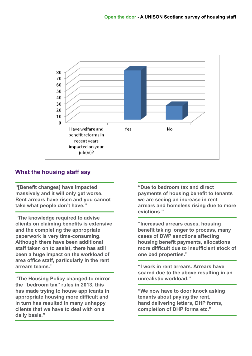

# **What the housing staff say**

**"[Benefit changes] have impacted massively and it will only get worse. Rent arrears have risen and you cannot take what people don't have."**

**"The knowledge required to advise clients on claiming benefits is extensive and the completing the appropriate paperwork is very time-consuming. Although there have been additional staff taken on to assist, there has still been a huge impact on the workload of area office staff, particularly in the rent arrears teams."**

**"The Housing Policy changed to mirror the "bedroom tax" rules in 2013, this has made trying to house applicants in appropriate housing more difficult and in turn has resulted in many unhappy clients that we have to deal with on a daily basis."**

**"Due to bedroom tax and direct payments of housing benefit to tenants we are seeing an increase in rent arrears and homeless rising due to more evictions."**

**"Increased arrears cases, housing benefit taking longer to process, many cases of DWP sanctions affecting housing benefit payments, allocations more difficult due to insufficient stock of one bed properties."**

**"I work in rent arrears. Arrears have soared due to the above resulting in an unrealistic workload."**

**"We now have to door knock asking tenants about paying the rent, hand delivering letters, DHP forms, completion of DHP forms etc."**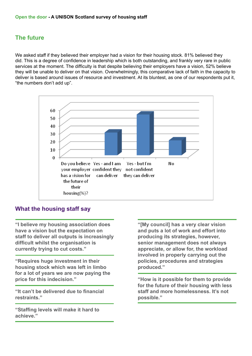# **The future**

We asked staff if they believed their employer had a vision for their housing stock. 81% believed they did. This is a degree of confidence in leadership which is both outstanding, and frankly very rare in public services at the moment. The difficulty is that despite believing their employers have a vision, 52% believe they will be unable to deliver on that vision. Overwhelmingly, this comparative lack of faith in the capacity to deliver is based around issues of resource and investment. At its bluntest, as one of our respondents put it, "the numbers don't add up".



# **What the housing staff say**

**"I believe my housing association does have a vision but the expectation on staff to deliver all outputs is increasingly difficult whilst the organisation is currently trying to cut costs."**

**"Requires huge investment in their housing stock which was left in limbo for a lot of years we are now paying the price for this indecision."**

**"It can't be delivered due to financial restraints."**

**"Staffing levels will make it hard to achieve."**

**"[My council] has a very clear vision and puts a lot of work and effort into producing its strategies, however, senior management does not always appreciate, or allow for, the workload involved in properly carrying out the policies, procedures and strategies produced."**

**"How is it possible for them to provide for the future of their housing with less staff and more homelessness. It's not possible."**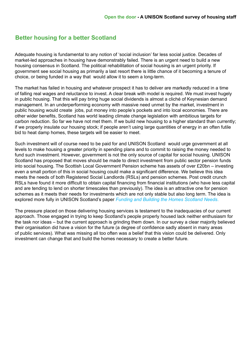#### **Better housing for a better Scotland**

Adequate housing is fundamental to any notion of 'social inclusion' far less social justice. Decades of market-led approaches in housing have demonstrably failed. There is an urgent need to build a new housing consensus in Scotland. The political rehabilitation of social housing is an urgent priority. If government see social housing as primarily a last resort there is little chance of it becoming a tenure of choice, or being funded in a way that would allow it to seem a long-term.

The market has failed in housing and whatever prospect it has to deliver are markedly reduced in a time of falling real wages and reluctance to invest. A clear break with model is required. We must invest hugely in public housing. That this will pay bring huge social dividends is almost a cliché of Keynesian demand management. In an underperforming economy with massive need unmet by the market, investment in public housing would create jobs, put money into people's pockets and into local economies. There are other wider benefits, Scotland has world leading climate change legislation with ambitious targets for carbon reduction. So far we have not met them. If we build new housing to a higher standard than currently; if we properly insulate our housing stock; if people aren't using large quantities of energy in an often futile bid to heat damp homes, these targets will be easier to meet.

Such investment will of course need to be paid for and UNISON Scotland would urge government at all levels to make housing a greater priority in spending plans and to commit to raising the money needed to fund such investment. However, government is not the only source of capital for social housing. UNISON Scotland has proposed that moves should be made to direct investment from public sector pension funds into social housing. The Scottish Local Government Pension scheme has assets of over £20bn – investing even a small portion of this in social housing could make a significant difference. We believe this idea meets the needs of both Registered Social Landlords (RSLs) and pension schemes. Post credit crunch RSLs have found it more difficult to obtain capital financing from financial institutions (who have less capital and are tending to lend on shorter timescales than previously). The idea is an attractive one for pension schemes as it meets their needs for investments which are not only stable but also long term. The idea is explored more fully in UNISON Scotland's paper *[Funding and Building the Homes Scotland Needs](http://www.unison-scotland.org.uk/housing/FundingAndBuildingTheHomesScotlandNeeds_Mar2013.pdf)*.

The pressure placed on those delivering housing services is testament to the inadequacies of our current approach. Those engaged in trying to keep Scotland's people properly housed lack neither enthusiasm for the task nor ideas – but the current approach is grinding them down. In our survey a clear majority believed their organisation did have a vision for the future (a degree of confidence sadly absent in many areas of public services). What was missing all too often was a belief that this vision could be delivered. Only investment can change that and build the homes necessary to create a better future.